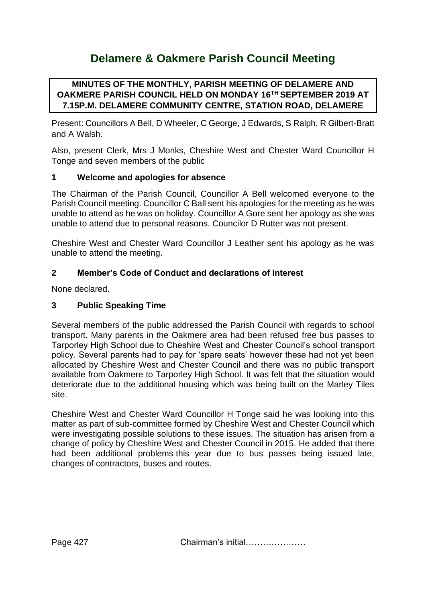# **Delamere & Oakmere Parish Council Meeting**

# **MINUTES OF THE MONTHLY, PARISH MEETING OF DELAMERE AND OAKMERE PARISH COUNCIL HELD ON MONDAY 16TH SEPTEMBER 2019 AT 7.15P.M. DELAMERE COMMUNITY CENTRE, STATION ROAD, DELAMERE**

Present: Councillors A Bell, D Wheeler, C George, J Edwards, S Ralph, R Gilbert-Bratt and A Walsh.

Also, present Clerk, Mrs J Monks, Cheshire West and Chester Ward Councillor H Tonge and seven members of the public

# **1 Welcome and apologies for absence**

The Chairman of the Parish Council, Councillor A Bell welcomed everyone to the Parish Council meeting. Councillor C Ball sent his apologies for the meeting as he was unable to attend as he was on holiday. Councillor A Gore sent her apology as she was unable to attend due to personal reasons. Councilor D Rutter was not present.

Cheshire West and Chester Ward Councillor J Leather sent his apology as he was unable to attend the meeting.

# **2 Member's Code of Conduct and declarations of interest**

None declared.

#### **3 Public Speaking Time**

Several members of the public addressed the Parish Council with regards to school transport. Many parents in the Oakmere area had been refused free bus passes to Tarporley High School due to Cheshire West and Chester Council's school transport policy. Several parents had to pay for 'spare seats' however these had not yet been allocated by Cheshire West and Chester Council and there was no public transport available from Oakmere to Tarporley High School. It was felt that the situation would deteriorate due to the additional housing which was being built on the Marley Tiles site.

Cheshire West and Chester Ward Councillor H Tonge said he was looking into this matter as part of sub-committee formed by Cheshire West and Chester Council which were investigating possible solutions to these issues. The situation has arisen from a change of policy by Cheshire West and Chester Council in 2015. He added that there had been additional problems this year due to bus passes being issued late, changes of contractors, buses and routes.

Page 427 Chairman's initial…………………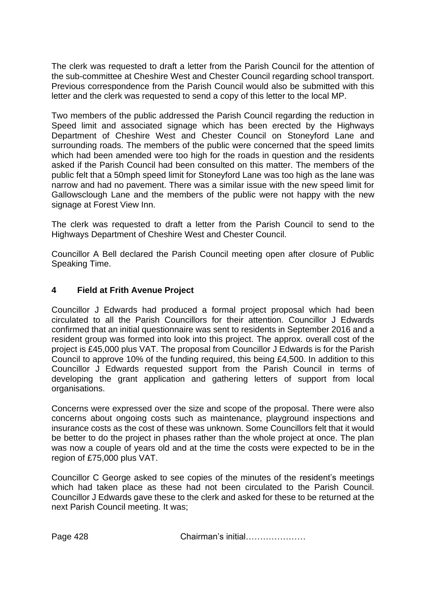The clerk was requested to draft a letter from the Parish Council for the attention of the sub-committee at Cheshire West and Chester Council regarding school transport. Previous correspondence from the Parish Council would also be submitted with this letter and the clerk was requested to send a copy of this letter to the local MP.

Two members of the public addressed the Parish Council regarding the reduction in Speed limit and associated signage which has been erected by the Highways Department of Cheshire West and Chester Council on Stoneyford Lane and surrounding roads. The members of the public were concerned that the speed limits which had been amended were too high for the roads in question and the residents asked if the Parish Council had been consulted on this matter. The members of the public felt that a 50mph speed limit for Stoneyford Lane was too high as the lane was narrow and had no pavement. There was a similar issue with the new speed limit for Gallowsclough Lane and the members of the public were not happy with the new signage at Forest View Inn.

The clerk was requested to draft a letter from the Parish Council to send to the Highways Department of Cheshire West and Chester Council.

Councillor A Bell declared the Parish Council meeting open after closure of Public Speaking Time.

#### **4 Field at Frith Avenue Project**

Councillor J Edwards had produced a formal project proposal which had been circulated to all the Parish Councillors for their attention. Councillor J Edwards confirmed that an initial questionnaire was sent to residents in September 2016 and a resident group was formed into look into this project. The approx. overall cost of the project is £45,000 plus VAT. The proposal from Councillor J Edwards is for the Parish Council to approve 10% of the funding required, this being £4,500. In addition to this Councillor J Edwards requested support from the Parish Council in terms of developing the grant application and gathering letters of support from local organisations.

Concerns were expressed over the size and scope of the proposal. There were also concerns about ongoing costs such as maintenance, playground inspections and insurance costs as the cost of these was unknown. Some Councillors felt that it would be better to do the project in phases rather than the whole project at once. The plan was now a couple of years old and at the time the costs were expected to be in the region of £75,000 plus VAT.

Councillor C George asked to see copies of the minutes of the resident's meetings which had taken place as these had not been circulated to the Parish Council. Councillor J Edwards gave these to the clerk and asked for these to be returned at the next Parish Council meeting. It was;

Page 428 Chairman's initial…………………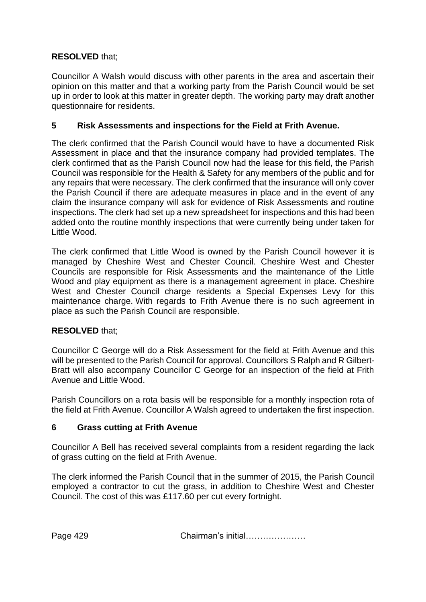# **RESOLVED** that;

Councillor A Walsh would discuss with other parents in the area and ascertain their opinion on this matter and that a working party from the Parish Council would be set up in order to look at this matter in greater depth. The working party may draft another questionnaire for residents.

# **5 Risk Assessments and inspections for the Field at Frith Avenue.**

The clerk confirmed that the Parish Council would have to have a documented Risk Assessment in place and that the insurance company had provided templates. The clerk confirmed that as the Parish Council now had the lease for this field, the Parish Council was responsible for the Health & Safety for any members of the public and for any repairs that were necessary. The clerk confirmed that the insurance will only cover the Parish Council if there are adequate measures in place and in the event of any claim the insurance company will ask for evidence of Risk Assessments and routine inspections. The clerk had set up a new spreadsheet for inspections and this had been added onto the routine monthly inspections that were currently being under taken for Little Wood.

The clerk confirmed that Little Wood is owned by the Parish Council however it is managed by Cheshire West and Chester Council. Cheshire West and Chester Councils are responsible for Risk Assessments and the maintenance of the Little Wood and play equipment as there is a management agreement in place. Cheshire West and Chester Council charge residents a Special Expenses Levy for this maintenance charge. With regards to Frith Avenue there is no such agreement in place as such the Parish Council are responsible.

# **RESOLVED** that;

Councillor C George will do a Risk Assessment for the field at Frith Avenue and this will be presented to the Parish Council for approval. Councillors S Ralph and R Gilbert-Bratt will also accompany Councillor C George for an inspection of the field at Frith Avenue and Little Wood.

Parish Councillors on a rota basis will be responsible for a monthly inspection rota of the field at Frith Avenue. Councillor A Walsh agreed to undertaken the first inspection.

# **6 Grass cutting at Frith Avenue**

Councillor A Bell has received several complaints from a resident regarding the lack of grass cutting on the field at Frith Avenue.

The clerk informed the Parish Council that in the summer of 2015, the Parish Council employed a contractor to cut the grass, in addition to Cheshire West and Chester Council. The cost of this was £117.60 per cut every fortnight.

Page 429 Chairman's initial…………………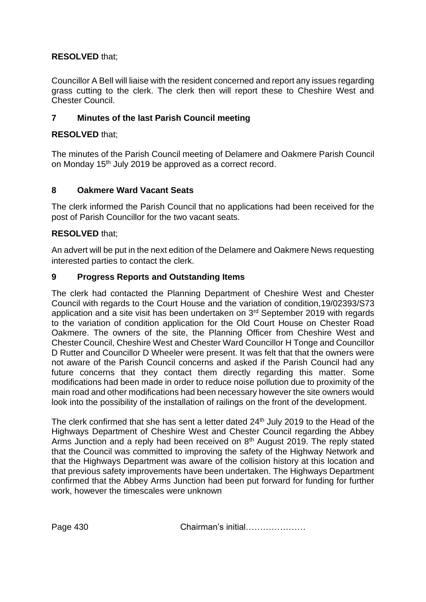# **RESOLVED** that;

Councillor A Bell will liaise with the resident concerned and report any issues regarding grass cutting to the clerk. The clerk then will report these to Cheshire West and Chester Council.

# **7 Minutes of the last Parish Council meeting**

# **RESOLVED** that;

The minutes of the Parish Council meeting of Delamere and Oakmere Parish Council on Monday 15<sup>th</sup> July 2019 be approved as a correct record.

# **8 Oakmere Ward Vacant Seats**

The clerk informed the Parish Council that no applications had been received for the post of Parish Councillor for the two vacant seats.

#### **RESOLVED** that;

An advert will be put in the next edition of the Delamere and Oakmere News requesting interested parties to contact the clerk.

#### **9 Progress Reports and Outstanding Items**

The clerk had contacted the Planning Department of Cheshire West and Chester Council with regards to the Court House and the variation of condition,19/02393/S73 application and a site visit has been undertaken on 3<sup>rd</sup> September 2019 with regards to the variation of condition application for the Old Court House on Chester Road Oakmere. The owners of the site, the Planning Officer from Cheshire West and Chester Council, Cheshire West and Chester Ward Councillor H Tonge and Councillor D Rutter and Councillor D Wheeler were present. It was felt that that the owners were not aware of the Parish Council concerns and asked if the Parish Council had any future concerns that they contact them directly regarding this matter. Some modifications had been made in order to reduce noise pollution due to proximity of the main road and other modifications had been necessary however the site owners would look into the possibility of the installation of railings on the front of the development.

The clerk confirmed that she has sent a letter dated 24<sup>th</sup> July 2019 to the Head of the Highways Department of Cheshire West and Chester Council regarding the Abbey Arms Junction and a reply had been received on  $8<sup>th</sup>$  August 2019. The reply stated that the Council was committed to improving the safety of the Highway Network and that the Highways Department was aware of the collision history at this location and that previous safety improvements have been undertaken. The Highways Department confirmed that the Abbey Arms Junction had been put forward for funding for further work, however the timescales were unknown

Page 430 Chairman's initial…………………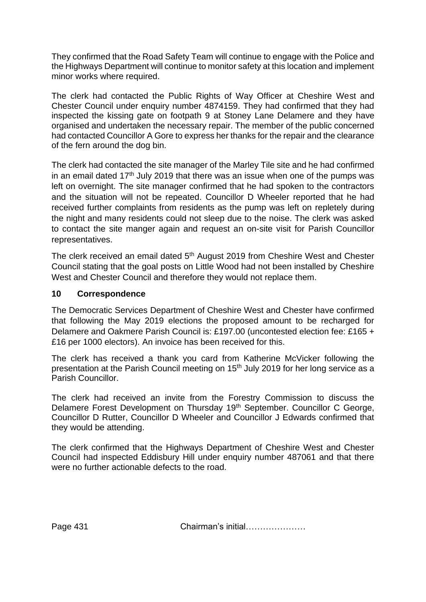They confirmed that the Road Safety Team will continue to engage with the Police and the Highways Department will continue to monitor safety at this location and implement minor works where required.

The clerk had contacted the Public Rights of Way Officer at Cheshire West and Chester Council under enquiry number 4874159. They had confirmed that they had inspected the kissing gate on footpath 9 at Stoney Lane Delamere and they have organised and undertaken the necessary repair. The member of the public concerned had contacted Councillor A Gore to express her thanks for the repair and the clearance of the fern around the dog bin.

The clerk had contacted the site manager of the Marley Tile site and he had confirmed in an email dated  $17<sup>th</sup>$  July 2019 that there was an issue when one of the pumps was left on overnight. The site manager confirmed that he had spoken to the contractors and the situation will not be repeated. Councillor D Wheeler reported that he had received further complaints from residents as the pump was left on repletely during the night and many residents could not sleep due to the noise. The clerk was asked to contact the site manger again and request an on-site visit for Parish Councillor representatives.

The clerk received an email dated 5<sup>th</sup> August 2019 from Cheshire West and Chester Council stating that the goal posts on Little Wood had not been installed by Cheshire West and Chester Council and therefore they would not replace them.

# **10 Correspondence**

The Democratic Services Department of Cheshire West and Chester have confirmed that following the May 2019 elections the proposed amount to be recharged for Delamere and Oakmere Parish Council is: £197.00 (uncontested election fee: £165 + £16 per 1000 electors). An invoice has been received for this.

The clerk has received a thank you card from Katherine McVicker following the presentation at the Parish Council meeting on 15<sup>th</sup> July 2019 for her long service as a Parish Councillor.

The clerk had received an invite from the Forestry Commission to discuss the Delamere Forest Development on Thursday 19th September. Councillor C George, Councillor D Rutter, Councillor D Wheeler and Councillor J Edwards confirmed that they would be attending.

The clerk confirmed that the Highways Department of Cheshire West and Chester Council had inspected Eddisbury Hill under enquiry number 487061 and that there were no further actionable defects to the road.

Page 431 Chairman's initial…………………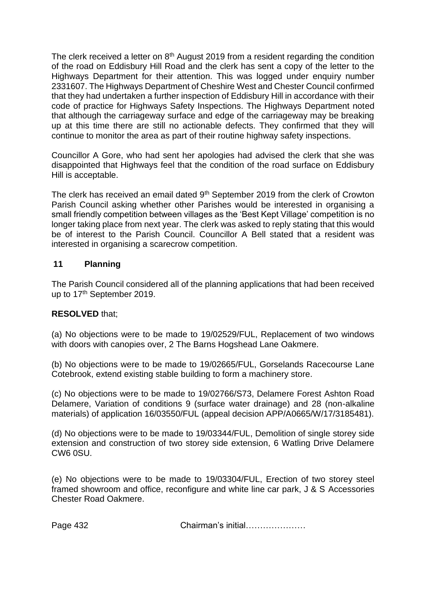The clerk received a letter on 8<sup>th</sup> August 2019 from a resident regarding the condition of the road on Eddisbury Hill Road and the clerk has sent a copy of the letter to the Highways Department for their attention. This was logged under enquiry number 2331607. The Highways Department of Cheshire West and Chester Council confirmed that they had undertaken a further inspection of Eddisbury Hill in accordance with their code of practice for Highways Safety Inspections. The Highways Department noted that although the carriageway surface and edge of the carriageway may be breaking up at this time there are still no actionable defects. They confirmed that they will continue to monitor the area as part of their routine highway safety inspections.

Councillor A Gore, who had sent her apologies had advised the clerk that she was disappointed that Highways feel that the condition of the road surface on Eddisbury Hill is acceptable.

The clerk has received an email dated 9<sup>th</sup> September 2019 from the clerk of Crowton Parish Council asking whether other Parishes would be interested in organising a small friendly competition between villages as the 'Best Kept Village' competition is no longer taking place from next year. The clerk was asked to reply stating that this would be of interest to the Parish Council. Councillor A Bell stated that a resident was interested in organising a scarecrow competition.

# **11 Planning**

The Parish Council considered all of the planning applications that had been received up to 17<sup>th</sup> September 2019.

#### **RESOLVED** that;

(a) No objections were to be made to 19/02529/FUL, Replacement of two windows with doors with canopies over, 2 The Barns Hogshead Lane Oakmere.

(b) No objections were to be made to 19/02665/FUL, Gorselands Racecourse Lane Cotebrook, extend existing stable building to form a machinery store.

(c) No objections were to be made to 19/02766/S73, Delamere Forest Ashton Road Delamere, Variation of conditions 9 (surface water drainage) and 28 (non-alkaline materials) of application 16/03550/FUL (appeal decision APP/A0665/W/17/3185481).

(d) No objections were to be made to 19/03344/FUL, Demolition of single storey side extension and construction of two storey side extension, 6 Watling Drive Delamere CW6 0SU.

(e) No objections were to be made to 19/03304/FUL, Erection of two storey steel framed showroom and office, reconfigure and white line car park, J & S Accessories Chester Road Oakmere.

Page 432 Chairman's initial…………………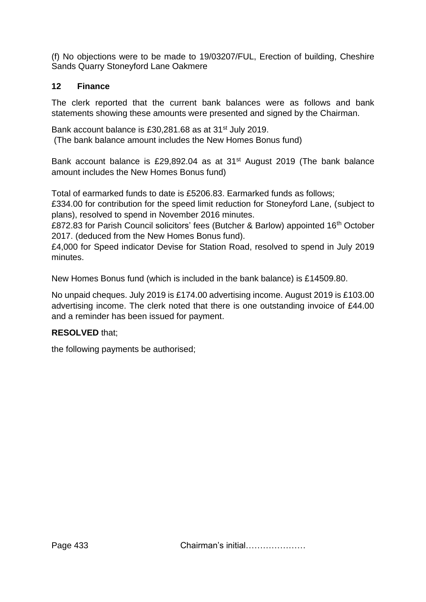(f) No objections were to be made to 19/03207/FUL, Erection of building, Cheshire Sands Quarry Stoneyford Lane Oakmere

# **12 Finance**

The clerk reported that the current bank balances were as follows and bank statements showing these amounts were presented and signed by the Chairman.

Bank account balance is £30,281,68 as at 31<sup>st</sup> July 2019. (The bank balance amount includes the New Homes Bonus fund)

Bank account balance is £29,892.04 as at 31<sup>st</sup> August 2019 (The bank balance amount includes the New Homes Bonus fund)

Total of earmarked funds to date is £5206.83. Earmarked funds as follows;

£334.00 for contribution for the speed limit reduction for Stoneyford Lane, (subject to plans), resolved to spend in November 2016 minutes.

£872.83 for Parish Council solicitors' fees (Butcher & Barlow) appointed 16<sup>th</sup> October 2017. (deduced from the New Homes Bonus fund).

£4,000 for Speed indicator Devise for Station Road, resolved to spend in July 2019 minutes.

New Homes Bonus fund (which is included in the bank balance) is £14509.80.

No unpaid cheques. July 2019 is £174.00 advertising income. August 2019 is £103.00 advertising income. The clerk noted that there is one outstanding invoice of £44.00 and a reminder has been issued for payment.

# **RESOLVED** that;

the following payments be authorised;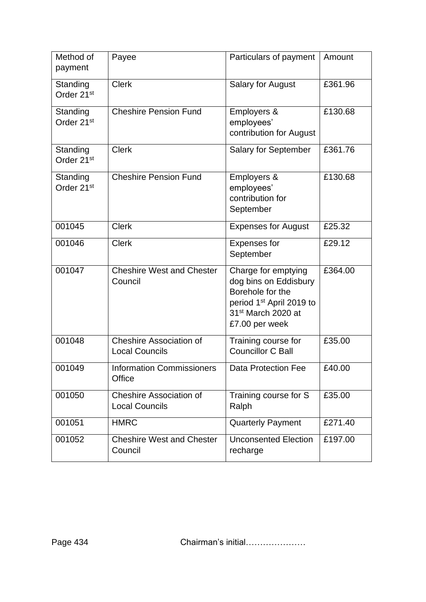| Method of<br>payment               | Payee                                                   | Particulars of payment                                                                                                                                       | Amount  |
|------------------------------------|---------------------------------------------------------|--------------------------------------------------------------------------------------------------------------------------------------------------------------|---------|
| Standing<br>Order 21 <sup>st</sup> | <b>Clerk</b>                                            | <b>Salary for August</b>                                                                                                                                     | £361.96 |
| Standing<br>Order 21 <sup>st</sup> | <b>Cheshire Pension Fund</b>                            | Employers &<br>employees'<br>contribution for August                                                                                                         | £130.68 |
| Standing<br>Order 21 <sup>st</sup> | <b>Clerk</b>                                            | Salary for September                                                                                                                                         | £361.76 |
| Standing<br>Order 21 <sup>st</sup> | <b>Cheshire Pension Fund</b>                            | Employers &<br>employees'<br>contribution for<br>September                                                                                                   | £130.68 |
| 001045                             | <b>Clerk</b>                                            | <b>Expenses for August</b>                                                                                                                                   | £25.32  |
| 001046                             | <b>Clerk</b>                                            | <b>Expenses for</b><br>September                                                                                                                             | £29.12  |
| 001047                             | <b>Cheshire West and Chester</b><br>Council             | Charge for emptying<br>dog bins on Eddisbury<br>Borehole for the<br>period 1 <sup>st</sup> April 2019 to<br>31 <sup>st</sup> March 2020 at<br>£7.00 per week | £364.00 |
| 001048                             | <b>Cheshire Association of</b><br><b>Local Councils</b> | Training course for<br><b>Councillor C Ball</b>                                                                                                              | £35.00  |
| 001049                             | <b>Information Commissioners</b><br>Office              | Data Protection Fee                                                                                                                                          | £40.00  |
| 001050                             | <b>Cheshire Association of</b><br><b>Local Councils</b> | Training course for S<br>Ralph                                                                                                                               | £35.00  |
| 001051                             | <b>HMRC</b>                                             | <b>Quarterly Payment</b>                                                                                                                                     | £271.40 |
| 001052                             | <b>Cheshire West and Chester</b><br>Council             | <b>Unconsented Election</b><br>recharge                                                                                                                      | £197.00 |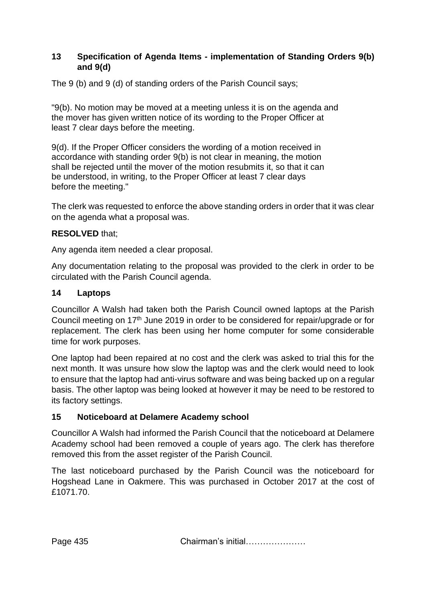# **13 Specification of Agenda Items - implementation of Standing Orders 9(b) and 9(d)**

The 9 (b) and 9 (d) of standing orders of the Parish Council says;

"9(b). No motion may be moved at a meeting unless it is on the agenda and the mover has given written notice of its wording to the Proper Officer at least 7 clear days before the meeting.

9(d). If the Proper Officer considers the wording of a motion received in accordance with standing order 9(b) is not clear in meaning, the motion shall be rejected until the mover of the motion resubmits it, so that it can be understood, in writing, to the Proper Officer at least 7 clear days before the meeting."

The clerk was requested to enforce the above standing orders in order that it was clear on the agenda what a proposal was.

# **RESOLVED** that;

Any agenda item needed a clear proposal.

Any documentation relating to the proposal was provided to the clerk in order to be circulated with the Parish Council agenda.

#### **14 Laptops**

Councillor A Walsh had taken both the Parish Council owned laptops at the Parish Council meeting on 17<sup>th</sup> June 2019 in order to be considered for repair/upgrade or for replacement. The clerk has been using her home computer for some considerable time for work purposes.

One laptop had been repaired at no cost and the clerk was asked to trial this for the next month. It was unsure how slow the laptop was and the clerk would need to look to ensure that the laptop had anti-virus software and was being backed up on a regular basis. The other laptop was being looked at however it may be need to be restored to its factory settings.

# **15 Noticeboard at Delamere Academy school**

Councillor A Walsh had informed the Parish Council that the noticeboard at Delamere Academy school had been removed a couple of years ago. The clerk has therefore removed this from the asset register of the Parish Council.

The last noticeboard purchased by the Parish Council was the noticeboard for Hogshead Lane in Oakmere. This was purchased in October 2017 at the cost of £1071.70.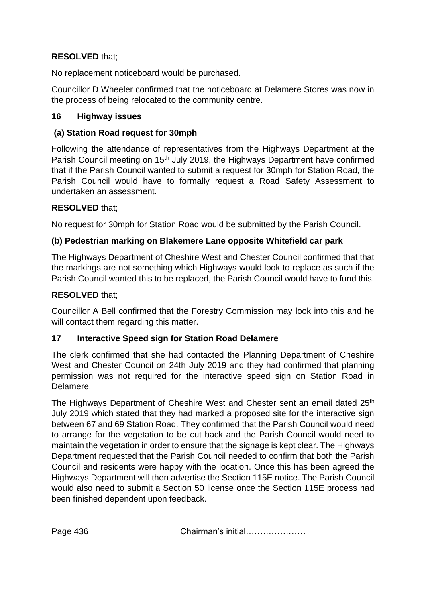# **RESOLVED** that;

No replacement noticeboard would be purchased.

Councillor D Wheeler confirmed that the noticeboard at Delamere Stores was now in the process of being relocated to the community centre.

#### **16 Highway issues**

#### **(a) Station Road request for 30mph**

Following the attendance of representatives from the Highways Department at the Parish Council meeting on 15<sup>th</sup> July 2019, the Highways Department have confirmed that if the Parish Council wanted to submit a request for 30mph for Station Road, the Parish Council would have to formally request a Road Safety Assessment to undertaken an assessment.

#### **RESOLVED** that;

No request for 30mph for Station Road would be submitted by the Parish Council.

#### **(b) Pedestrian marking on Blakemere Lane opposite Whitefield car park**

The Highways Department of Cheshire West and Chester Council confirmed that that the markings are not something which Highways would look to replace as such if the Parish Council wanted this to be replaced, the Parish Council would have to fund this.

#### **RESOLVED** that;

Councillor A Bell confirmed that the Forestry Commission may look into this and he will contact them regarding this matter.

# **17 Interactive Speed sign for Station Road Delamere**

The clerk confirmed that she had contacted the Planning Department of Cheshire West and Chester Council on 24th July 2019 and they had confirmed that planning permission was not required for the interactive speed sign on Station Road in Delamere.

The Highways Department of Cheshire West and Chester sent an email dated 25<sup>th</sup> July 2019 which stated that they had marked a proposed site for the interactive sign between 67 and 69 Station Road. They confirmed that the Parish Council would need to arrange for the vegetation to be cut back and the Parish Council would need to maintain the vegetation in order to ensure that the signage is kept clear. The Highways Department requested that the Parish Council needed to confirm that both the Parish Council and residents were happy with the location. Once this has been agreed the Highways Department will then advertise the Section 115E notice. The Parish Council would also need to submit a Section 50 license once the Section 115E process had been finished dependent upon feedback.

Page 436 **Chairman's initial………………**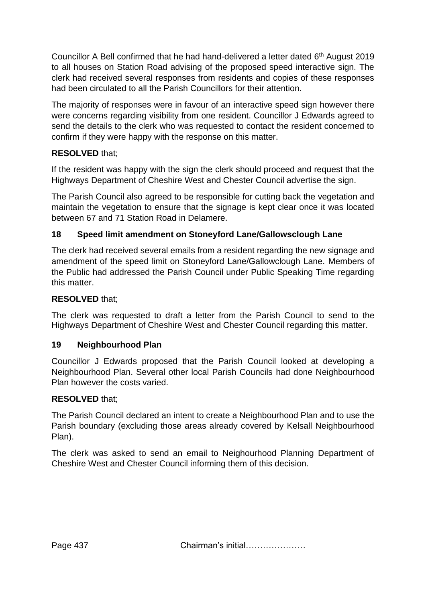Councillor A Bell confirmed that he had hand-delivered a letter dated 6<sup>th</sup> August 2019 to all houses on Station Road advising of the proposed speed interactive sign. The clerk had received several responses from residents and copies of these responses had been circulated to all the Parish Councillors for their attention.

The majority of responses were in favour of an interactive speed sign however there were concerns regarding visibility from one resident. Councillor J Edwards agreed to send the details to the clerk who was requested to contact the resident concerned to confirm if they were happy with the response on this matter.

# **RESOLVED** that;

If the resident was happy with the sign the clerk should proceed and request that the Highways Department of Cheshire West and Chester Council advertise the sign.

The Parish Council also agreed to be responsible for cutting back the vegetation and maintain the vegetation to ensure that the signage is kept clear once it was located between 67 and 71 Station Road in Delamere.

# **18 Speed limit amendment on Stoneyford Lane/Gallowsclough Lane**

The clerk had received several emails from a resident regarding the new signage and amendment of the speed limit on Stoneyford Lane/Gallowclough Lane. Members of the Public had addressed the Parish Council under Public Speaking Time regarding this matter.

# **RESOLVED** that;

The clerk was requested to draft a letter from the Parish Council to send to the Highways Department of Cheshire West and Chester Council regarding this matter.

# **19 Neighbourhood Plan**

Councillor J Edwards proposed that the Parish Council looked at developing a Neighbourhood Plan. Several other local Parish Councils had done Neighbourhood Plan however the costs varied.

# **RESOLVED** that;

The Parish Council declared an intent to create a Neighbourhood Plan and to use the Parish boundary (excluding those areas already covered by Kelsall Neighbourhood Plan).

The clerk was asked to send an email to Neighourhood Planning Department of Cheshire West and Chester Council informing them of this decision.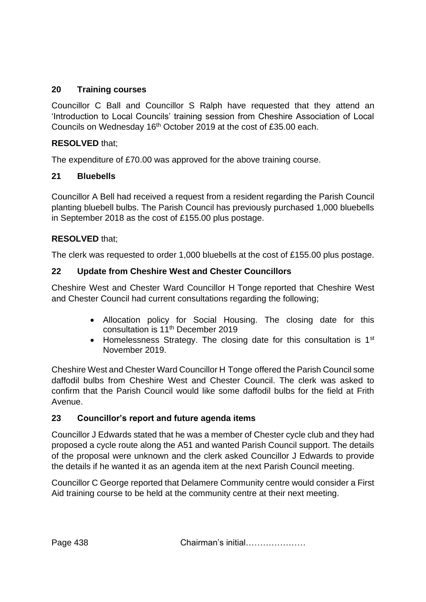# **20 Training courses**

Councillor C Ball and Councillor S Ralph have requested that they attend an 'Introduction to Local Councils' training session from Cheshire Association of Local Councils on Wednesday 16<sup>th</sup> October 2019 at the cost of £35.00 each.

# **RESOLVED** that;

The expenditure of £70.00 was approved for the above training course.

#### **21 Bluebells**

Councillor A Bell had received a request from a resident regarding the Parish Council planting bluebell bulbs. The Parish Council has previously purchased 1,000 bluebells in September 2018 as the cost of £155.00 plus postage.

# **RESOLVED** that;

The clerk was requested to order 1,000 bluebells at the cost of £155.00 plus postage.

#### **22 Update from Cheshire West and Chester Councillors**

Cheshire West and Chester Ward Councillor H Tonge reported that Cheshire West and Chester Council had current consultations regarding the following;

- Allocation policy for Social Housing. The closing date for this consultation is 11<sup>th</sup> December 2019
- Homelessness Strategy. The closing date for this consultation is 1<sup>st</sup> November 2019.

Cheshire West and Chester Ward Councillor H Tonge offered the Parish Council some daffodil bulbs from Cheshire West and Chester Council. The clerk was asked to confirm that the Parish Council would like some daffodil bulbs for the field at Frith Avenue.

# **23 Councillor's report and future agenda items**

Councillor J Edwards stated that he was a member of Chester cycle club and they had proposed a cycle route along the A51 and wanted Parish Council support. The details of the proposal were unknown and the clerk asked Councillor J Edwards to provide the details if he wanted it as an agenda item at the next Parish Council meeting.

Councillor C George reported that Delamere Community centre would consider a First Aid training course to be held at the community centre at their next meeting.